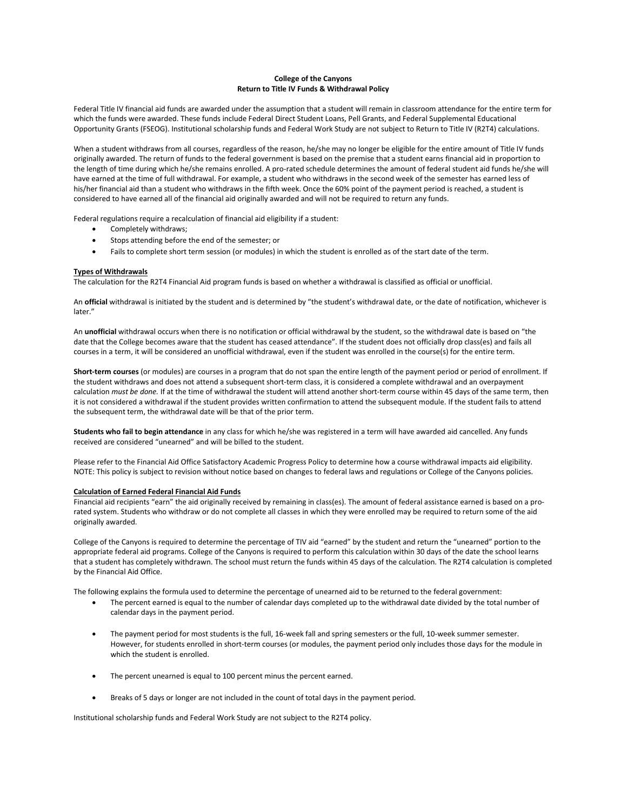# **College of the Canyons Return to Title IV Funds & Withdrawal Policy**

Federal Title IV financial aid funds are awarded under the assumption that a student will remain in classroom attendance for the entire term for which the funds were awarded. These funds include Federal Direct Student Loans, Pell Grants, and Federal Supplemental Educational Opportunity Grants (FSEOG). Institutional scholarship funds and Federal Work Study are not subject to Return to Title IV (R2T4) calculations.

When a student withdraws from all courses, regardless of the reason, he/she may no longer be eligible for the entire amount of Title IV funds originally awarded. The return of funds to the federal government is based on the premise that a student earns financial aid in proportion to the length of time during which he/she remains enrolled. A pro-rated schedule determines the amount of federal student aid funds he/she will have earned at the time of full withdrawal. For example, a student who withdraws in the second week of the semester has earned less of his/her financial aid than a student who withdraws in the fifth week. Once the 60% point of the payment period is reached, a student is considered to have earned all of the financial aid originally awarded and will not be required to return any funds.

Federal regulations require a recalculation of financial aid eligibility if a student:

- Completely withdraws;
- Stops attending before the end of the semester; or
- Fails to complete short term session (or modules) in which the student is enrolled as of the start date of the term.

## **Types of Withdrawals**

The calculation for the R2T4 Financial Aid program funds is based on whether a withdrawal is classified as official or unofficial.

An **official** withdrawal is initiated by the student and is determined by "the student's withdrawal date, or the date of notification, whichever is later."

An **unofficial** withdrawal occurs when there is no notification or official withdrawal by the student, so the withdrawal date is based on "the date that the College becomes aware that the student has ceased attendance". If the student does not officially drop class(es) and fails all courses in a term, it will be considered an unofficial withdrawal, even if the student was enrolled in the course(s) for the entire term.

**Short-term courses** (or modules) are courses in a program that do not span the entire length of the payment period or period of enrollment. If the student withdraws and does not attend a subsequent short-term class, it is considered a complete withdrawal and an overpayment calculation *must be done.* If at the time of withdrawal the student will attend another short-term course within 45 days of the same term, then it is not considered a withdrawal if the student provides written confirmation to attend the subsequent module. If the student fails to attend the subsequent term, the withdrawal date will be that of the prior term.

**Students who fail to begin attendance** in any class for which he/she was registered in a term will have awarded aid cancelled. Any funds received are considered "unearned" and will be billed to the student.

Please refer to the Financial Aid Office Satisfactory Academic Progress Policy to determine how a course withdrawal impacts aid eligibility. NOTE: This policy is subject to revision without notice based on changes to federal laws and regulations or College of the Canyons policies.

## **Calculation of Earned Federal Financial Aid Funds**

Financial aid recipients "earn" the aid originally received by remaining in class(es). The amount of federal assistance earned is based on a prorated system. Students who withdraw or do not complete all classes in which they were enrolled may be required to return some of the aid originally awarded.

College of the Canyons is required to determine the percentage of TIV aid "earned" by the student and return the "unearned" portion to the appropriate federal aid programs. College of the Canyons is required to perform this calculation within 30 days of the date the school learns that a student has completely withdrawn. The school must return the funds within 45 days of the calculation. The R2T4 calculation is completed by the Financial Aid Office.

The following explains the formula used to determine the percentage of unearned aid to be returned to the federal government:

- The percent earned is equal to the number of calendar days completed up to the withdrawal date divided by the total number of calendar days in the payment period.
- The payment period for most students is the full, 16-week fall and spring semesters or the full, 10-week summer semester. However, for students enrolled in short-term courses (or modules, the payment period only includes those days for the module in which the student is enrolled.
- The percent unearned is equal to 100 percent minus the percent earned.
- Breaks of 5 days or longer are not included in the count of total days in the payment period.

Institutional scholarship funds and Federal Work Study are not subject to the R2T4 policy.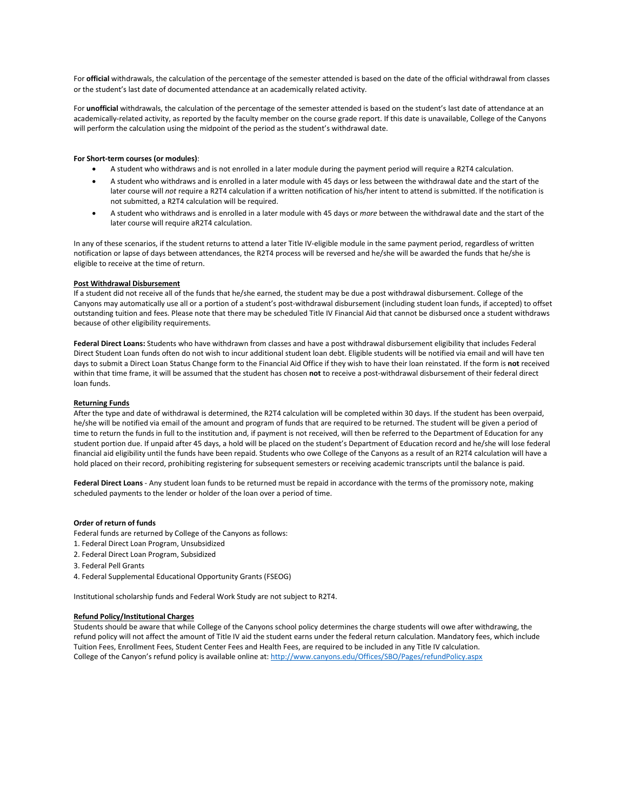For **official** withdrawals, the calculation of the percentage of the semester attended is based on the date of the official withdrawal from classes or the student's last date of documented attendance at an academically related activity.

For **unofficial** withdrawals, the calculation of the percentage of the semester attended is based on the student's last date of attendance at an academically-related activity, as reported by the faculty member on the course grade report. If this date is unavailable, College of the Canyons will perform the calculation using the midpoint of the period as the student's withdrawal date.

## **For Short-term courses (or modules)**:

- A student who withdraws and is not enrolled in a later module during the payment period will require a R2T4 calculation.
- A student who withdraws and is enrolled in a later module with 45 days or less between the withdrawal date and the start of the later course will *not* require a R2T4 calculation if a written notification of his/her intent to attend is submitted. If the notification is not submitted, a R2T4 calculation will be required.
- A student who withdraws and is enrolled in a later module with 45 days or *more* between the withdrawal date and the start of the later course will require aR2T4 calculation.

In any of these scenarios, if the student returns to attend a later Title IV-eligible module in the same payment period, regardless of written notification or lapse of days between attendances, the R2T4 process will be reversed and he/she will be awarded the funds that he/she is eligible to receive at the time of return.

### **Post Withdrawal Disbursement**

If a student did not receive all of the funds that he/she earned, the student may be due a post withdrawal disbursement. College of the Canyons may automatically use all or a portion of a student's post-withdrawal disbursement (including student loan funds, if accepted) to offset outstanding tuition and fees. Please note that there may be scheduled Title IV Financial Aid that cannot be disbursed once a student withdraws because of other eligibility requirements.

**Federal Direct Loans:** Students who have withdrawn from classes and have a post withdrawal disbursement eligibility that includes Federal Direct Student Loan funds often do not wish to incur additional student loan debt. Eligible students will be notified via email and will have ten days to submit a Direct Loan Status Change form to the Financial Aid Office if they wish to have their loan reinstated. If the form is **not** received within that time frame, it will be assumed that the student has chosen **not** to receive a post-withdrawal disbursement of their federal direct loan funds.

### **Returning Funds**

After the type and date of withdrawal is determined, the R2T4 calculation will be completed within 30 days. If the student has been overpaid, he/she will be notified via email of the amount and program of funds that are required to be returned. The student will be given a period of time to return the funds in full to the institution and, if payment is not received, will then be referred to the Department of Education for any student portion due. If unpaid after 45 days, a hold will be placed on the student's Department of Education record and he/she will lose federal financial aid eligibility until the funds have been repaid. Students who owe College of the Canyons as a result of an R2T4 calculation will have a hold placed on their record, prohibiting registering for subsequent semesters or receiving academic transcripts until the balance is paid.

**Federal Direct Loans** - Any student loan funds to be returned must be repaid in accordance with the terms of the promissory note, making scheduled payments to the lender or holder of the loan over a period of time.

### **Order of return of funds**

Federal funds are returned by College of the Canyons as follows:

- 1. Federal Direct Loan Program, Unsubsidized
- 2. Federal Direct Loan Program, Subsidized
- 3. Federal Pell Grants
- 4. Federal Supplemental Educational Opportunity Grants (FSEOG)

Institutional scholarship funds and Federal Work Study are not subject to R2T4.

#### **Refund Policy/Institutional Charges**

Students should be aware that while College of the Canyons school policy determines the charge students will owe after withdrawing, the refund policy will not affect the amount of Title IV aid the student earns under the federal return calculation. Mandatory fees, which include Tuition Fees, Enrollment Fees, Student Center Fees and Health Fees, are required to be included in any Title IV calculation. College of the Canyon's refund policy is available online at[: http://www.canyons.edu/Offices/SBO/Pages/refundPolicy.aspx](http://www.canyons.edu/Offices/SBO/Pages/refundPolicy.aspx)